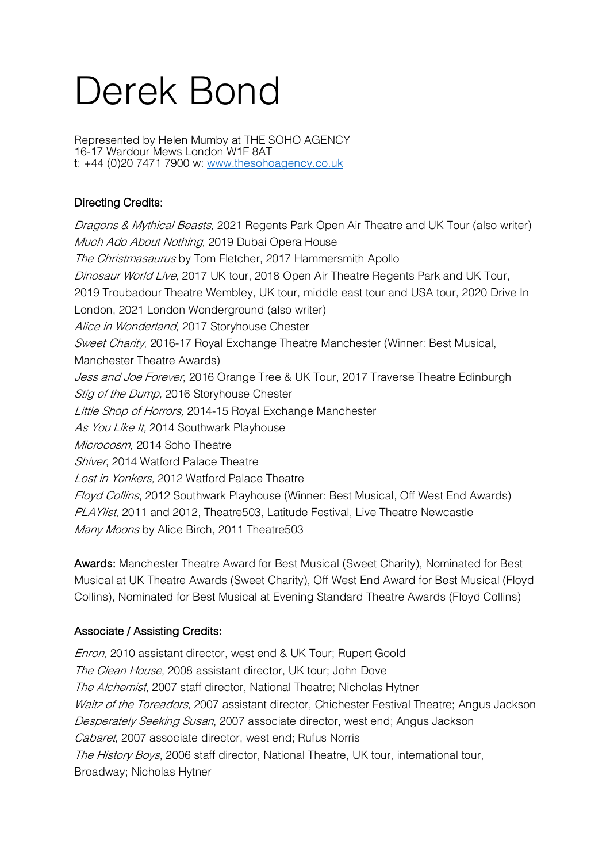# Derek Bond

Represented by Helen Mumby at THE SOHO AGENCY 16-17 Wardour Mews London W1F 8AT t: +44 (0)20 7471 7900 w: www.thesohoagency.co.uk

## Directing Credits:

*Dragons & Mythical Beasts,* 2021 Regents Park Open Air Theatre and UK Tour (also writer) Much Ado About Nothing, 2019 Dubai Opera House The Christmasaurus by Tom Fletcher, 2017 Hammersmith Apollo Dinosaur World Live, 2017 UK tour, 2018 Open Air Theatre Regents Park and UK Tour, 2019 Troubadour Theatre Wembley, UK tour, middle east tour and USA tour, 2020 Drive In London, 2021 London Wonderground (also writer) Alice in Wonderland, 2017 Storyhouse Chester Sweet Charity, 2016-17 Royal Exchange Theatre Manchester (Winner: Best Musical, Manchester Theatre Awards) Jess and Joe Forever, 2016 Orange Tree & UK Tour, 2017 Traverse Theatre Edinburgh Stig of the Dump, 2016 Storyhouse Chester Little Shop of Horrors, 2014-15 Royal Exchange Manchester As You Like It. 2014 Southwark Playhouse Microcosm, 2014 Soho Theatre Shiver, 2014 Watford Palace Theatre Lost in Yonkers, 2012 Watford Palace Theatre Floyd Collins, 2012 Southwark Playhouse (Winner: Best Musical, Off West End Awards) PLAY ist, 2011 and 2012, Theatre503, Latitude Festival, Live Theatre Newcastle Many Moons by Alice Birch, 2011 Theatre503

Awards: Manchester Theatre Award for Best Musical (Sweet Charity), Nominated for Best Musical at UK Theatre Awards (Sweet Charity), Off West End Award for Best Musical (Floyd Collins), Nominated for Best Musical at Evening Standard Theatre Awards (Floyd Collins)

### Associate / Assisting Credits:

Enron, 2010 assistant director, west end & UK Tour; Rupert Goold The Clean House, 2008 assistant director, UK tour; John Dove The Alchemist, 2007 staff director, National Theatre; Nicholas Hytner Waltz of the Toreadors, 2007 assistant director, Chichester Festival Theatre; Angus Jackson Desperately Seeking Susan, 2007 associate director, west end; Angus Jackson Cabaret, 2007 associate director, west end; Rufus Norris The History Boys, 2006 staff director, National Theatre, UK tour, international tour, Broadway; Nicholas Hytner